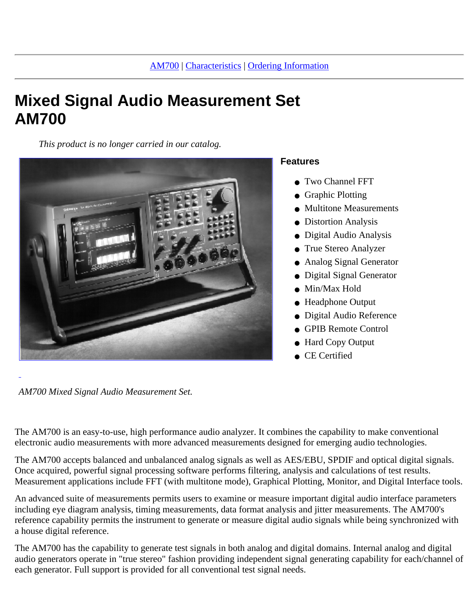# **Mixed Signal Audio Measurement Set AM700**

*This product is no longer carried in our catalog.*



#### **Features**

- Two Channel FFT
- Graphic Plotting
- Multitone Measurements
- Distortion Analysis
- Digital Audio Analysis
- True Stereo Analyzer
- Analog Signal Generator
- Digital Signal Generator
- Min/Max Hold
- Headphone Output
- Digital Audio Reference
- GPIB Remote Control
- Hard Copy Output
- CE Certified

*AM700 Mixed Signal Audio Measurement Set.*

The AM700 is an easy-to-use, high performance audio analyzer. It combines the capability to make conventional electronic audio measurements with more advanced measurements designed for emerging audio technologies.

The AM700 accepts balanced and unbalanced analog signals as well as AES/EBU, SPDIF and optical digital signals. Once acquired, powerful signal processing software performs filtering, analysis and calculations of test results. Measurement applications include FFT (with multitone mode), Graphical Plotting, Monitor, and Digital Interface tools.

An advanced suite of measurements permits users to examine or measure important digital audio interface parameters including eye diagram analysis, timing measurements, data format analysis and jitter measurements. The AM700's reference capability permits the instrument to generate or measure digital audio signals while being synchronized with a house digital reference.

The AM700 has the capability to generate test signals in both analog and digital domains. Internal analog and digital audio generators operate in "true stereo" fashion providing independent signal generating capability for each/channel of each generator. Full support is provided for all conventional test signal needs.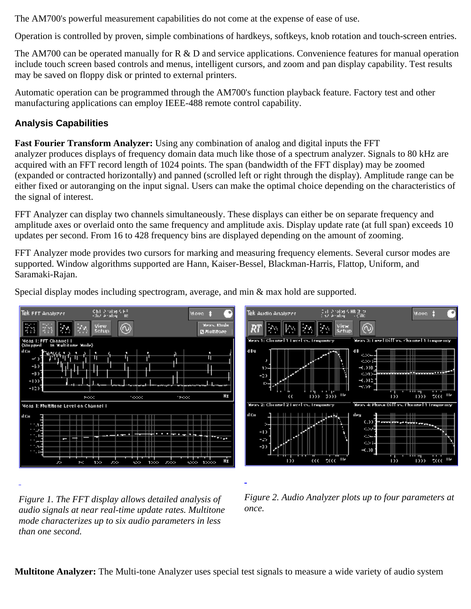The AM700's powerful measurement capabilities do not come at the expense of ease of use.

Operation is controlled by proven, simple combinations of hardkeys, softkeys, knob rotation and touch-screen entries.

The AM700 can be operated manually for R & D and service applications. Convenience features for manual operation include touch screen based controls and menus, intelligent cursors, and zoom and pan display capability. Test results may be saved on floppy disk or printed to external printers.

Automatic operation can be programmed through the AM700's function playback feature. Factory test and other manufacturing applications can employ IEEE-488 remote control capability.

## **Analysis Capabilities**

**Fast Fourier Transform Analyzer:** Using any combination of analog and digital inputs the FFT analyzer produces displays of frequency domain data much like those of a spectrum analyzer. Signals to 80 kHz are acquired with an FFT record length of 1024 points. The span (bandwidth of the FFT display) may be zoomed (expanded or contracted horizontally) and panned (scrolled left or right through the display). Amplitude range can be either fixed or autoranging on the input signal. Users can make the optimal choice depending on the characteristics of the signal of interest.

FFT Analyzer can display two channels simultaneously. These displays can either be on separate frequency and amplitude axes or overlaid onto the same frequency and amplitude axis. Display update rate (at full span) exceeds 10 updates per second. From 16 to 428 frequency bins are displayed depending on the amount of zooming.

FFT Analyzer mode provides two cursors for marking and measuring frequency elements. Several cursor modes are supported. Window algorithms supported are Hann, Kaiser-Bessel, Blackman-Harris, Flattop, Uniform, and Saramaki-Rajan.

Special display modes including spectrogram, average, and min & max hold are supported.





*Figure 1. The FFT display allows detailed analysis of audio signals at near real-time update rates. Multitone mode characterizes up to six audio parameters in less than one second.*

*Figure 2. Audio Analyzer plots up to four parameters at once.*

**Multitone Analyzer:** The Multi-tone Analyzer uses special test signals to measure a wide variety of audio system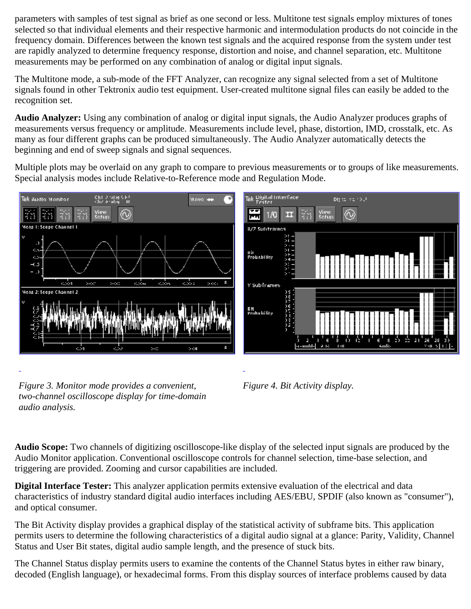parameters with samples of test signal as brief as one second or less. Multitone test signals employ mixtures of tones selected so that individual elements and their respective harmonic and intermodulation products do not coincide in the frequency domain. Differences between the known test signals and the acquired response from the system under test are rapidly analyzed to determine frequency response, distortion and noise, and channel separation, etc. Multitone measurements may be performed on any combination of analog or digital input signals.

The Multitone mode, a sub-mode of the FFT Analyzer, can recognize any signal selected from a set of Multitone signals found in other Tektronix audio test equipment. User-created multitone signal files can easily be added to the recognition set.

**Audio Analyzer:** Using any combination of analog or digital input signals, the Audio Analyzer produces graphs of measurements versus frequency or amplitude. Measurements include level, phase, distortion, IMD, crosstalk, etc. As many as four different graphs can be produced simultaneously. The Audio Analyzer automatically detects the beginning and end of sweep signals and signal sequences.

Multiple plots may be overlaid on any graph to compare to previous measurements or to groups of like measurements. Special analysis modes include Relative-to-Reference mode and Regulation Mode.



*Figure 3. Monitor mode provides a convenient, two-channel oscilloscope display for time-domain audio analysis.*



**Audio Scope:** Two channels of digitizing oscilloscope-like display of the selected input signals are produced by the Audio Monitor application. Conventional oscilloscope controls for channel selection, time-base selection, and triggering are provided. Zooming and cursor capabilities are included.

**Digital Interface Tester:** This analyzer application permits extensive evaluation of the electrical and data characteristics of industry standard digital audio interfaces including AES/EBU, SPDIF (also known as "consumer"), and optical consumer.

The Bit Activity display provides a graphical display of the statistical activity of subframe bits. This application permits users to determine the following characteristics of a digital audio signal at a glance: Parity, Validity, Channel Status and User Bit states, digital audio sample length, and the presence of stuck bits.

The Channel Status display permits users to examine the contents of the Channel Status bytes in either raw binary, decoded (English language), or hexadecimal forms. From this display sources of interface problems caused by data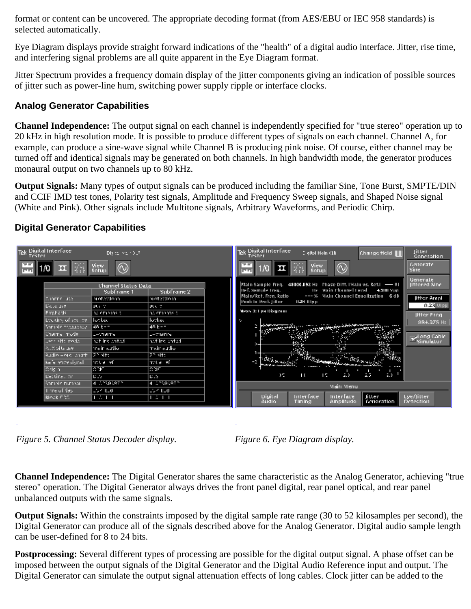format or content can be uncovered. The appropriate decoding format (from AES/EBU or IEC 958 standards) is selected automatically.

Eye Diagram displays provide straight forward indications of the "health" of a digital audio interface. Jitter, rise time, and interfering signal problems are all quite apparent in the Eye Diagram format.

Jitter Spectrum provides a frequency domain display of the jitter components giving an indication of possible sources of jitter such as power-line hum, switching power supply ripple or interface clocks.

## **Analog Generator Capabilities**

**Channel Independence:** The output signal on each channel is independently specified for "true stereo" operation up to 20 kHz in high resolution mode. It is possible to produce different types of signals on each channel. Channel A, for example, can produce a sine-wave signal while Channel B is producing pink noise. Of course, either channel may be turned off and identical signals may be generated on both channels. In high bandwidth mode, the generator produces monaural output on two channels up to 80 kHz.

**Output Signals:** Many types of output signals can be produced including the familiar Sine, Tone Burst, SMPTE/DIN and CCIF IMD test tones, Polarity test signals, Amplitude and Frequency Sweep signals, and Shaped Noise signal (White and Pink). Other signals include Multitone signals, Arbitrary Waveforms, and Periodic Chirp.

### **Digital Generator Capabilities**



*Figure 5. Channel Status Decoder display. Figure 6. Eye Diagram display.*



**Channel Independence:** The Digital Generator shares the same characteristic as the Analog Generator, achieving "true stereo" operation. The Digital Generator always drives the front panel digital, rear panel optical, and rear panel unbalanced outputs with the same signals.

**Output Signals:** Within the constraints imposed by the digital sample rate range (30 to 52 kilosamples per second), the Digital Generator can produce all of the signals described above for the Analog Generator. Digital audio sample length can be user-defined for 8 to 24 bits.

**Postprocessing:** Several different types of processing are possible for the digital output signal. A phase offset can be imposed between the output signals of the Digital Generator and the Digital Audio Reference input and output. The Digital Generator can simulate the output signal attenuation effects of long cables. Clock jitter can be added to the